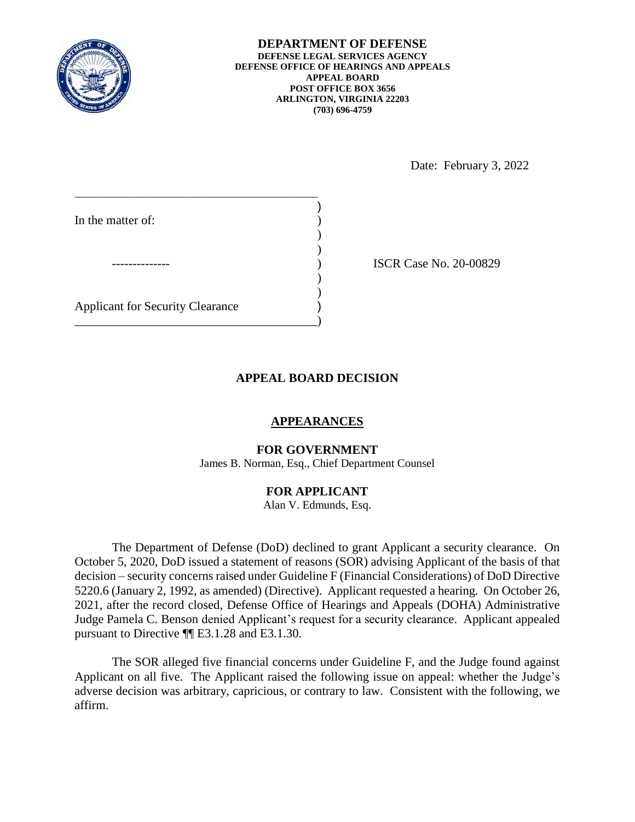

Date: February 3, 2022

| In the matter of:                       |  |
|-----------------------------------------|--|
|                                         |  |
|                                         |  |
| <b>Applicant for Security Clearance</b> |  |

15CR Case No. 20-00829

# **APPEAL BOARD DECISION**

## **APPEARANCES**

#### **FOR GOVERNMENT**

James B. Norman, Esq., Chief Department Counsel

### **FOR APPLICANT**

Alan V. Edmunds, Esq.

 The Department of Defense (DoD) declined to grant Applicant a security clearance. On October 5, 2020, DoD issued a statement of reasons (SOR) advising Applicant of the basis of that decision – security concerns raised under Guideline F (Financial Considerations) of DoD Directive 5220.6 (January 2, 1992, as amended) (Directive). Applicant requested a hearing. On October 26, 2021, after the record closed, Defense Office of Hearings and Appeals (DOHA) Administrative pursuant to Directive ¶¶ E3.1.28 and E3.1.30. Judge Pamela C. Benson denied Applicant's request for a security clearance. Applicant appealed

 The SOR alleged five financial concerns under Guideline F, and the Judge found against Applicant on all five. The Applicant raised the following issue on appeal: whether the Judge's adverse decision was arbitrary, capricious, or contrary to law. Consistent with the following, we affirm.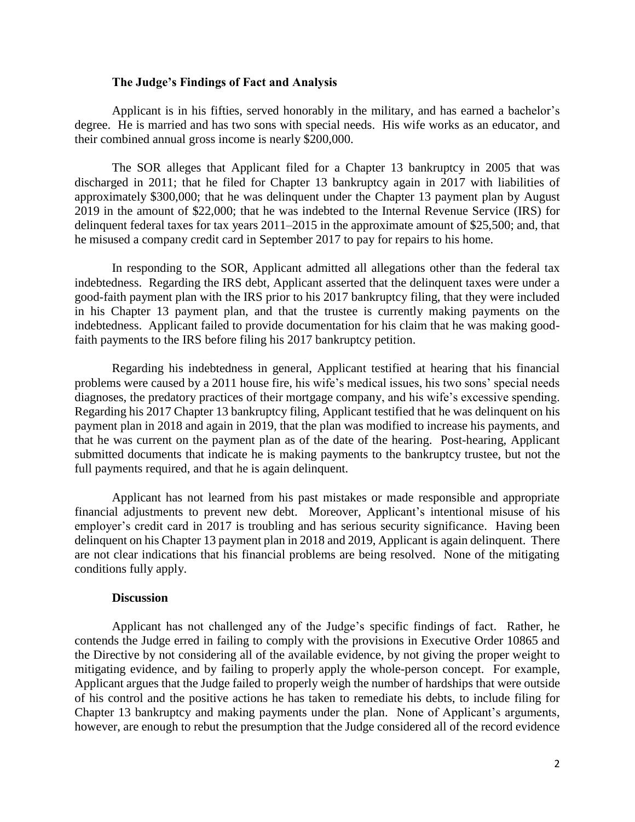#### **The Judge's Findings of Fact and Analysis**

 degree. He is married and has two sons with special needs. His wife works as an educator, and their combined annual gross income is nearly \$200,000. their combined annual gross income is nearly \$200,000. The SOR alleges that Applicant filed for a Chapter 13 bankruptcy in 2005 that was Applicant is in his fifties, served honorably in the military, and has earned a bachelor's

 discharged in 2011; that he filed for Chapter 13 bankruptcy again in 2017 with liabilities of approximately \$300,000; that he was delinquent under the Chapter 13 payment plan by August 2019 in the amount of \$22,000; that he was indebted to the Internal Revenue Service (IRS) for delinquent federal taxes for tax years 2011–2015 in the approximate amount of \$25,500; and, that he misused a company credit card in September 2017 to pay for repairs to his home.

 indebtedness. Regarding the IRS debt, Applicant asserted that the delinquent taxes were under a in his Chapter 13 payment plan, and that the trustee is currently making payments on the indebtedness. Applicant failed to provide documentation for his claim that he was making good-In responding to the SOR, Applicant admitted all allegations other than the federal tax good-faith payment plan with the IRS prior to his 2017 bankruptcy filing, that they were included faith payments to the IRS before filing his 2017 bankruptcy petition.

 problems were caused by a 2011 house fire, his wife's medical issues, his two sons' special needs Regarding his 2017 Chapter 13 bankruptcy filing, Applicant testified that he was delinquent on his that he was current on the payment plan as of the date of the hearing. Post-hearing, Applicant Regarding his indebtedness in general, Applicant testified at hearing that his financial diagnoses, the predatory practices of their mortgage company, and his wife's excessive spending. payment plan in 2018 and again in 2019, that the plan was modified to increase his payments, and submitted documents that indicate he is making payments to the bankruptcy trustee, but not the full payments required, and that he is again delinquent.

 employer's credit card in 2017 is troubling and has serious security significance. Having been are not clear indications that his financial problems are being resolved. None of the mitigating Applicant has not learned from his past mistakes or made responsible and appropriate financial adjustments to prevent new debt. Moreover, Applicant's intentional misuse of his delinquent on his Chapter 13 payment plan in 2018 and 2019, Applicant is again delinquent. There conditions fully apply.

#### **Discussion**

 Applicant has not challenged any of the Judge's specific findings of fact. Rather, he contends the Judge erred in failing to comply with the provisions in Executive Order 10865 and the Directive by not considering all of the available evidence, by not giving the proper weight to mitigating evidence, and by failing to properly apply the whole-person concept. For example, Applicant argues that the Judge failed to properly weigh the number of hardships that were outside of his control and the positive actions he has taken to remediate his debts, to include filing for Chapter 13 bankruptcy and making payments under the plan. None of Applicant's arguments, however, are enough to rebut the presumption that the Judge considered all of the record evidence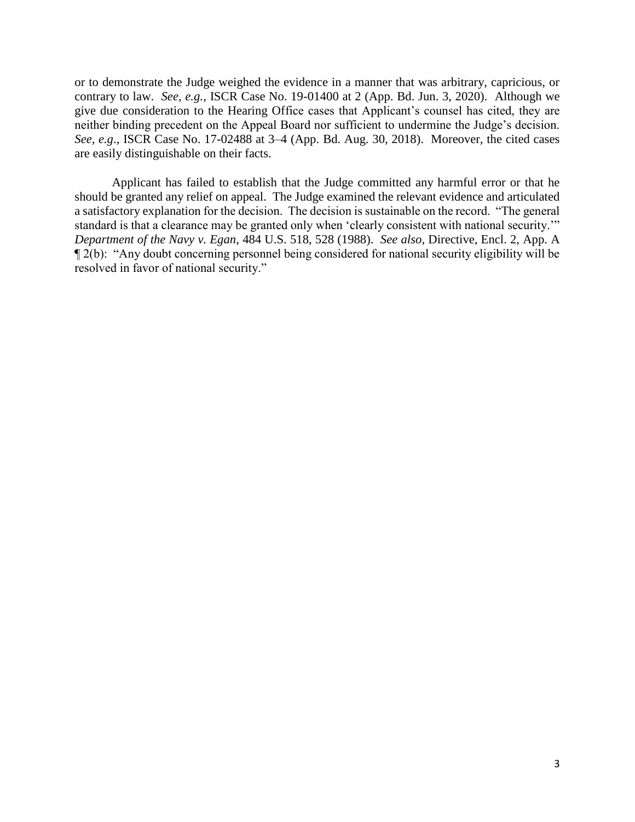or to demonstrate the Judge weighed the evidence in a manner that was arbitrary, capricious, or contrary to law. *See, e.g.*, ISCR Case No. 19-01400 at 2 (App. Bd. Jun. 3, 2020). Although we give due consideration to the Hearing Office cases that Applicant's counsel has cited, they are *See, e.g*., ISCR Case No. 17-02488 at 3–4 (App. Bd. Aug. 30, 2018). Moreover, the cited cases are easily distinguishable on their facts. neither binding precedent on the Appeal Board nor sufficient to undermine the Judge's decision.

 should be granted any relief on appeal. The Judge examined the relevant evidence and articulated a satisfactory explanation for the decision. The decision is sustainable on the record. "The general standard is that a clearance may be granted only when 'clearly consistent with national security.'" ¶ 2(b): "Any doubt concerning personnel being considered for national security eligibility will be Applicant has failed to establish that the Judge committed any harmful error or that he *Department of the Navy v. Egan*, 484 U.S. 518, 528 (1988). *See also*, Directive, Encl. 2, App. A resolved in favor of national security."